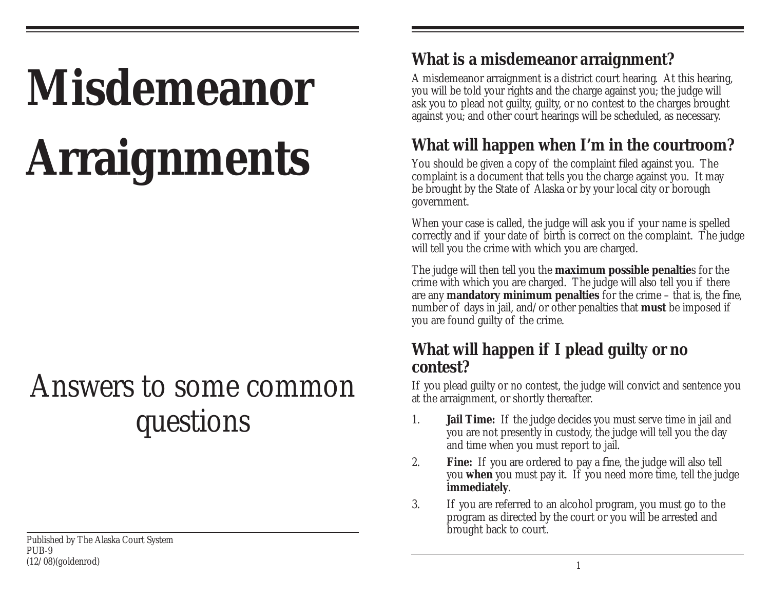# **Misdemeanor Arraignments**

# Answers to some common questions

# **What is a misdemeanor arraignment?**

A misdemeanor arraignment is a district court hearing. At this hearing, you will be told your rights and the charge against you; the judge will ask you to plead not guilty, guilty, or no contest to the charges brought against you; and other court hearings will be scheduled, as necessary.

# **What will happen when I'm in the courtroom?**

You should be given a copy of the complaint filed against you. The complaint is a document that tells you the charge against you. It may be brought by the State of Alaska or by your local city or borough government.

When your case is called, the judge will ask you if your name is spelled correctly and if your date of birth is correct on the complaint. The judge will tell you the crime with which you are charged.

The judge will then tell you the **maximum possible penaltie**s for the crime with which you are charged. The judge will also tell you if there are any **mandatory minimum penalties** for the crime  $-$  that is, the fine, number of days in jail, and/or other penalties that **must** be imposed if you are found guilty of the crime.

#### **What will happen if I plead guilty or no contest?**

If you plead guilty or no contest, the judge will convict and sentence you at the arraignment, or shortly thereafter.

- 1. **Jail Time:** If the judge decides you must serve time in jail and you are not presently in custody, the judge will tell you the day and time when you must report to jail.
- 2. **Fine:** If you are ordered to pay a fine, the judge will also tell you **when** you must pay it. If you need more time, tell the judge **immediately**.
- 3. If you are referred to an alcohol program, you must go to the program as directed by the court or you will be arrested and brought back to court.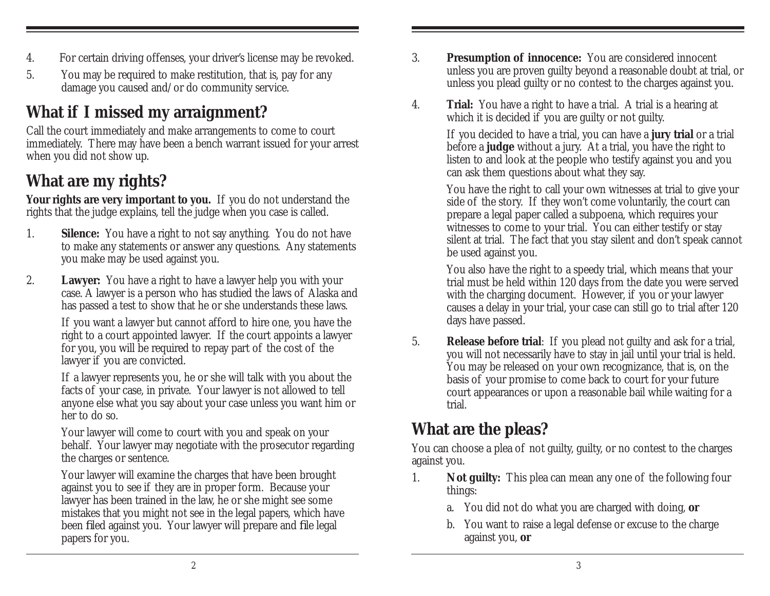- 4. For certain driving offenses, your driver's license may be revoked.
- 5. You may be required to make restitution, that is, pay for any damage you caused and/or do community service.

# **What if I missed my arraignment?**

Call the court immediately and make arrangements to come to court immediately. There may have been a bench warrant issued for your arrest when you did not show up.

# **What are my rights?**

Your rights are very important to you. If you do not understand the rights that the judge explains, tell the judge when you case is called.

- 1. **Silence:** You have a right to not say anything. You do not have to make any statements or answer any questions. Any statements you make may be used against you.
- 2. **Lawyer:** You have a right to have a lawyer help you with your case. A lawyer is a person who has studied the laws of Alaska and has passed a test to show that he or she understands these laws.

If you want a lawyer but cannot afford to hire one, you have the right to a court appointed lawyer. If the court appoints a lawyer for you, you will be required to repay part of the cost of the lawyer if you are convicted.

If a lawyer represents you, he or she will talk with you about the facts of your case, in private. Your lawyer is not allowed to tell anyone else what you say about your case unless you want him or her to do so.

Your lawyer will come to court with you and speak on your behalf. Your lawyer may negotiate with the prosecutor regarding the charges or sentence.

Your lawyer will examine the charges that have been brought against you to see if they are in proper form. Because your lawyer has been trained in the law, he or she might see some mistakes that you might not see in the legal papers, which have been filed against you. Your lawyer will prepare and file legal papers for you.

- 3. **Presumption of innocence:** You are considered innocent unless you are proven guilty beyond a reasonable doubt at trial, or unless you plead guilty or no contest to the charges against you.
- 4. **Trial:** You have a right to have a trial. A trial is a hearing at which it is decided if you are guilty or not guilty.

If you decided to have a trial, you can have a **jury trial** or a trial before a **judge** without a jury. At a trial, you have the right to listen to and look at the people who testify against you and you can ask them questions about what they say.

You have the right to call your own witnesses at trial to give your side of the story. If they won't come voluntarily, the court can prepare a legal paper called a subpoena, which requires your witnesses to come to your trial. You can either testify or stay silent at trial. The fact that you stay silent and don't speak cannot be used against you.

You also have the right to a speedy trial, which means that your trial must be held within 120 days from the date you were served with the charging document. However, if you or your lawyer causes a delay in your trial, your case can still go to trial after 120 days have passed.

5. **Release before trial**: If you plead not guilty and ask for a trial, you will not necessarily have to stay in jail until your trial is held. You may be released on your own recognizance, that is, on the basis of your promise to come back to court for your future court appearances or upon a reasonable bail while waiting for a trial.

### **What are the pleas?**

You can choose a plea of not guilty, guilty, or no contest to the charges against you.

- 1. **Not guilty:** This plea can mean any one of the following four things:
	- a. You did not do what you are charged with doing, **or**
	- b. You want to raise a legal defense or excuse to the charge against you, **or**